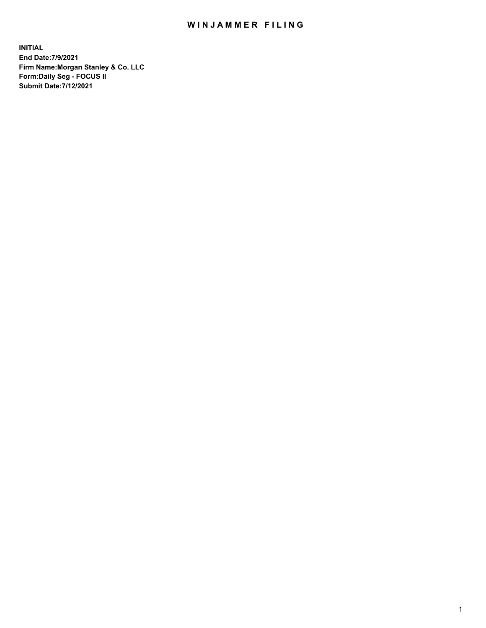## WIN JAMMER FILING

**INITIAL End Date:7/9/2021 Firm Name:Morgan Stanley & Co. LLC Form:Daily Seg - FOCUS II Submit Date:7/12/2021**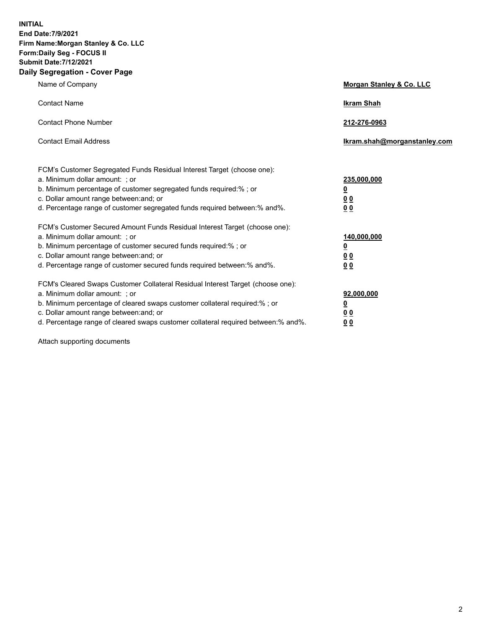**INITIAL End Date:7/9/2021 Firm Name:Morgan Stanley & Co. LLC Form:Daily Seg - FOCUS II Submit Date:7/12/2021 Daily Segregation - Cover Page**

| Name of Company                                                                                                                                                                                                                                                                                                                | Morgan Stanley & Co. LLC                               |
|--------------------------------------------------------------------------------------------------------------------------------------------------------------------------------------------------------------------------------------------------------------------------------------------------------------------------------|--------------------------------------------------------|
| <b>Contact Name</b>                                                                                                                                                                                                                                                                                                            | <b>Ikram Shah</b>                                      |
| <b>Contact Phone Number</b>                                                                                                                                                                                                                                                                                                    | 212-276-0963                                           |
| <b>Contact Email Address</b>                                                                                                                                                                                                                                                                                                   | Ikram.shah@morganstanley.com                           |
| FCM's Customer Segregated Funds Residual Interest Target (choose one):<br>a. Minimum dollar amount: ; or<br>b. Minimum percentage of customer segregated funds required:% ; or<br>c. Dollar amount range between: and; or<br>d. Percentage range of customer segregated funds required between:% and%.                         | 235,000,000<br><u>0</u><br><u>00</u><br>00             |
| FCM's Customer Secured Amount Funds Residual Interest Target (choose one):<br>a. Minimum dollar amount: ; or<br>b. Minimum percentage of customer secured funds required:%; or<br>c. Dollar amount range between: and; or<br>d. Percentage range of customer secured funds required between:% and%.                            | 140,000,000<br><u>0</u><br><u>00</u><br>0 <sup>0</sup> |
| FCM's Cleared Swaps Customer Collateral Residual Interest Target (choose one):<br>a. Minimum dollar amount: ; or<br>b. Minimum percentage of cleared swaps customer collateral required:% ; or<br>c. Dollar amount range between: and; or<br>d. Percentage range of cleared swaps customer collateral required between:% and%. | 92,000,000<br><u>0</u><br><u>00</u><br>00              |

Attach supporting documents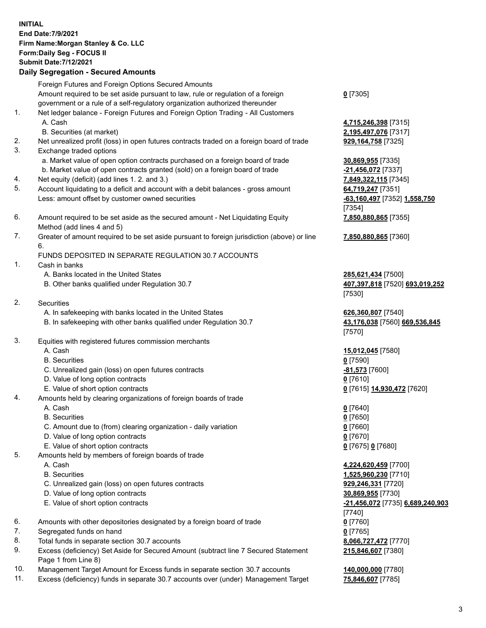## **INITIAL End Date:7/9/2021 Firm Name:Morgan Stanley & Co. LLC Form:Daily Seg - FOCUS II Submit Date:7/12/2021**

**Daily Segregation - Secured Amounts** Foreign Futures and Foreign Options Secured Amounts Amount required to be set aside pursuant to law, rule or regulation of a foreign government or a rule of a self-regulatory organization authorized thereunder 1. Net ledger balance - Foreign Futures and Foreign Option Trading - All Customers A. Cash **4,715,246,398** [7315] B. Securities (at market) **2,195,497,076** [7317] 2. Net unrealized profit (loss) in open futures contracts traded on a foreign board of trade **929,164,758** [7325] 3. Exchange traded options a. Market value of open option contracts purchased on a foreign board of trade **30,869,955** [7335] b. Market value of open contracts granted (sold) on a foreign board of trade **-21,456,072** [7337] 4. Net equity (deficit) (add lines 1. 2. and 3.) **7,849,322,115** [7345] 5. Account liquidating to a deficit and account with a debit balances - gross amount **64,719,247** [7351] Less: amount offset by customer owned securities **-63,160,497** [7352] **1,558,750** 6. Amount required to be set aside as the secured amount - Net Liquidating Equity Method (add lines 4 and 5) 7. Greater of amount required to be set aside pursuant to foreign jurisdiction (above) or line 6. FUNDS DEPOSITED IN SEPARATE REGULATION 30.7 ACCOUNTS 1. Cash in banks A. Banks located in the United States **285,621,434** [7500] B. Other banks qualified under Regulation 30.7 **407,397,818** [7520] **693,019,252** 2. Securities A. In safekeeping with banks located in the United States **626,360,807** [7540] B. In safekeeping with other banks qualified under Regulation 30.7 **43,176,038** [7560] **669,536,845** 3. Equities with registered futures commission merchants A. Cash **15,012,045** [7580] B. Securities **0** [7590] C. Unrealized gain (loss) on open futures contracts **-81,573** [7600] D. Value of long option contracts **0** [7610] E. Value of short option contracts **0** [7615] **14,930,472** [7620] 4. Amounts held by clearing organizations of foreign boards of trade

A. Cash **0** [7640]

- B. Securities **0** [7650]
- C. Amount due to (from) clearing organization daily variation **0** [7660]
- D. Value of long option contracts **0** [7670]
- E. Value of short option contracts **0** [7675] **0** [7680]
- 5. Amounts held by members of foreign boards of trade
	-
	-
	- C. Unrealized gain (loss) on open futures contracts **929,246,331** [7720]
	- D. Value of long option contracts **30,869,955** [7730]
	-
- 6. Amounts with other depositories designated by a foreign board of trade **0** [7760]
- 7. Segregated funds on hand **0** [7765]
- 8. Total funds in separate section 30.7 accounts **8,066,727,472** [7770]
- 9. Excess (deficiency) Set Aside for Secured Amount (subtract line 7 Secured Statement Page 1 from Line 8)
- 10. Management Target Amount for Excess funds in separate section 30.7 accounts **140,000,000** [7780]
- 11. Excess (deficiency) funds in separate 30.7 accounts over (under) Management Target **75,846,607** [7785]

**0** [7305]

[7354] **7,850,880,865** [7355]

**7,850,880,865** [7360]

[7530]

[7570]

 A. Cash **4,224,620,459** [7700] B. Securities **1,525,960,230** [7710] E. Value of short option contracts **-21,456,072** [7735] **6,689,240,903** [7740] **215,846,607** [7380]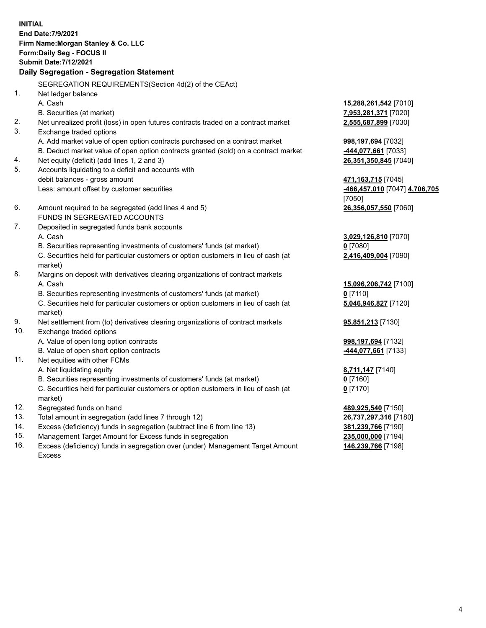**INITIAL End Date:7/9/2021 Firm Name:Morgan Stanley & Co. LLC Form:Daily Seg - FOCUS II Submit Date:7/12/2021 Daily Segregation - Segregation Statement** SEGREGATION REQUIREMENTS(Section 4d(2) of the CEAct) 1. Net ledger balance A. Cash **15,288,261,542** [7010] B. Securities (at market) **7,953,281,371** [7020] 2. Net unrealized profit (loss) in open futures contracts traded on a contract market **2,555,687,899** [7030] 3. Exchange traded options A. Add market value of open option contracts purchased on a contract market **998,197,694** [7032] B. Deduct market value of open option contracts granted (sold) on a contract market **-444,077,661** [7033] 4. Net equity (deficit) (add lines 1, 2 and 3) **26,351,350,845** [7040] 5. Accounts liquidating to a deficit and accounts with debit balances - gross amount **471,163,715** [7045] Less: amount offset by customer securities **-466,457,010** [7047] **4,706,705** [7050] 6. Amount required to be segregated (add lines 4 and 5) **26,356,057,550** [7060] FUNDS IN SEGREGATED ACCOUNTS 7. Deposited in segregated funds bank accounts A. Cash **3,029,126,810** [7070] B. Securities representing investments of customers' funds (at market) **0** [7080] C. Securities held for particular customers or option customers in lieu of cash (at market) **2,416,409,004** [7090] 8. Margins on deposit with derivatives clearing organizations of contract markets A. Cash **15,096,206,742** [7100] B. Securities representing investments of customers' funds (at market) **0** [7110] C. Securities held for particular customers or option customers in lieu of cash (at market) **5,046,946,827** [7120] 9. Net settlement from (to) derivatives clearing organizations of contract markets **95,851,213** [7130] 10. Exchange traded options A. Value of open long option contracts **998,197,694** [7132] B. Value of open short option contracts **-444,077,661** [7133] 11. Net equities with other FCMs A. Net liquidating equity **8,711,147** [7140] B. Securities representing investments of customers' funds (at market) **0** [7160] C. Securities held for particular customers or option customers in lieu of cash (at market) **0** [7170] 12. Segregated funds on hand **489,925,540** [7150] 13. Total amount in segregation (add lines 7 through 12) **26,737,297,316** [7180] 14. Excess (deficiency) funds in segregation (subtract line 6 from line 13) **381,239,766** [7190] 15. Management Target Amount for Excess funds in segregation **235,000,000** [7194]

16. Excess (deficiency) funds in segregation over (under) Management Target Amount Excess

**146,239,766** [7198]